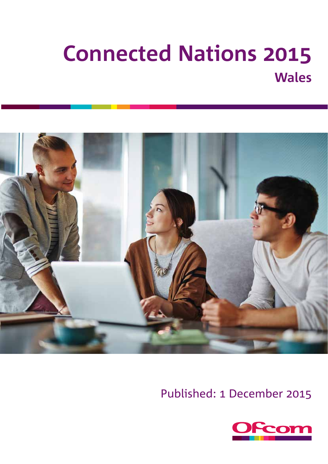# **Connected Nations Wales**



Published: 1 December 2015

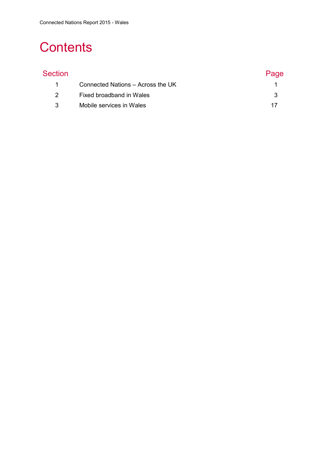## **Contents**

| Section       |                                   | Page |
|---------------|-----------------------------------|------|
|               | Connected Nations - Across the UK |      |
| $\mathcal{P}$ | Fixed broadband in Wales          |      |
| 3             | Mobile services in Wales          |      |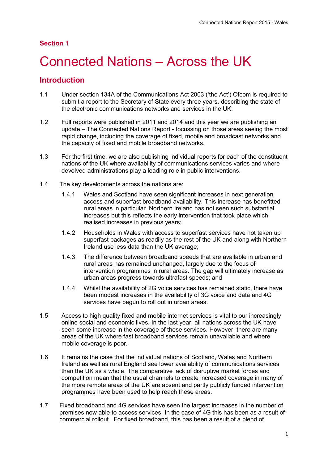#### **Section 1**

## <span id="page-2-0"></span>1 Connected Nations – Across the UK

### **Introduction**

- 1.1 Under section 134A of the Communications Act 2003 ('the Act') Ofcom is required to submit a report to the Secretary of State every three years, describing the state of the electronic communications networks and services in the UK.
- 1.2 Full reports were published in 2011 and 2014 and this year we are publishing an update – The Connected Nations Report - focussing on those areas seeing the most rapid change, including the coverage of fixed, mobile and broadcast networks and the capacity of fixed and mobile broadband networks.
- 1.3 For the first time, we are also publishing individual reports for each of the constituent nations of the UK where availability of communications services varies and where devolved administrations play a leading role in public interventions.
- 1.4 The key developments across the nations are:
	- 1.4.1 Wales and Scotland have seen significant increases in next generation access and superfast broadband availability. This increase has benefitted rural areas in particular. Northern Ireland has not seen such substantial increases but this reflects the early intervention that took place which realised increases in previous years;
	- 1.4.2 Households in Wales with access to superfast services have not taken up superfast packages as readily as the rest of the UK and along with Northern Ireland use less data than the UK average;
	- 1.4.3 The difference between broadband speeds that are available in urban and rural areas has remained unchanged, largely due to the focus of intervention programmes in rural areas. The gap will ultimately increase as urban areas progress towards ultrafast speeds; and
	- 1.4.4 Whilst the availability of 2G voice services has remained static, there have been modest increases in the availability of 3G voice and data and 4G services have begun to roll out in urban areas.
- 1.5 Access to high quality fixed and mobile internet services is vital to our increasingly online social and economic lives. In the last year, all nations across the UK have seen some increase in the coverage of these services. However, there are many areas of the UK where fast broadband services remain unavailable and where mobile coverage is poor.
- 1.6 It remains the case that the individual nations of Scotland, Wales and Northern Ireland as well as rural England see lower availability of communications services than the UK as a whole. The comparative lack of disruptive market forces and competition mean that the usual channels to create increased coverage in many of the more remote areas of the UK are absent and partly publicly funded intervention programmes have been used to help reach these areas.
- 1.7 Fixed broadband and 4G services have seen the largest increases in the number of premises now able to access services. In the case of 4G this has been as a result of commercial rollout. For fixed broadband, this has been a result of a blend of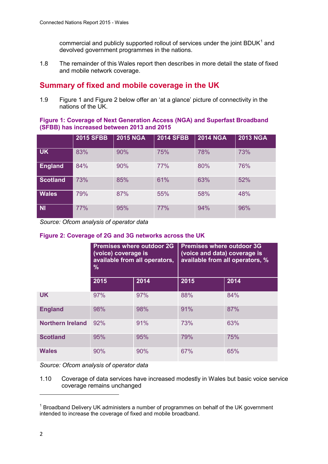commercial and publicly supported rollout of services under the joint BDUK $<sup>1</sup>$  $<sup>1</sup>$  $<sup>1</sup>$  and</sup> devolved government programmes in the nations.

1.8 The remainder of this Wales report then describes in more detail the state of fixed and mobile network coverage.

## **Summary of fixed and mobile coverage in the UK**

1.9 [Figure 1](#page-3-0) and [Figure](#page-3-1) 2 below offer an 'at a glance' picture of connectivity in the nations of the UK.

#### <span id="page-3-0"></span>**Figure 1: Coverage of Next Generation Access (NGA) and Superfast Broadband (SFBB) has increased between 2013 and 2015**

|                 | <b>2015 SFBB</b> | <b>2015 NGA</b> | <b>2014 SFBB</b> | <b>2014 NGA</b> | <b>2013 NGA</b> |
|-----------------|------------------|-----------------|------------------|-----------------|-----------------|
| <b>UK</b>       | 83%              | 90%             | 75%              | 78%             | 73%             |
| <b>England</b>  | 84%              | 90%             | 77%              | 80%             | 76%             |
| <b>Scotland</b> | 73%              | 85%             | 61%              | 63%             | 52%             |
| <b>Wales</b>    | 79%              | 87%             | 55%              | 58%             | 48%             |
| <b>NI</b>       | 77%              | 95%             | 77%              | 94%             | 96%             |

<span id="page-3-1"></span>*Source: Ofcom analysis of operator data*

#### **Figure 2: Coverage of 2G and 3G networks across the UK**

|                         | (voice) coverage is<br>available from all operators,<br>$\%$ | <b>Premises where outdoor 2G</b> | <b>Premises where outdoor 3G</b><br>(voice and data) coverage is<br>available from all operators, % |      |  |
|-------------------------|--------------------------------------------------------------|----------------------------------|-----------------------------------------------------------------------------------------------------|------|--|
|                         | 2015                                                         | 2014                             | 2015                                                                                                | 2014 |  |
| <b>UK</b>               | 97%                                                          | 97%                              | 88%                                                                                                 | 84%  |  |
| <b>England</b>          | 98%                                                          | 98%                              | 91%                                                                                                 | 87%  |  |
| <b>Northern Ireland</b> | 92%                                                          | 91%                              | 73%                                                                                                 | 63%  |  |
| <b>Scotland</b>         | 95%                                                          | 95%                              | 79%                                                                                                 | 75%  |  |
| <b>Wales</b>            | 90%                                                          | 90%                              | 67%                                                                                                 | 65%  |  |

*Source: Ofcom analysis of operator data*

1.10 Coverage of data services have increased modestly in Wales but basic voice service coverage remains unchanged

**.** 

<span id="page-3-2"></span> $1$  Broadband Delivery UK administers a number of programmes on behalf of the UK government intended to increase the coverage of fixed and mobile broadband.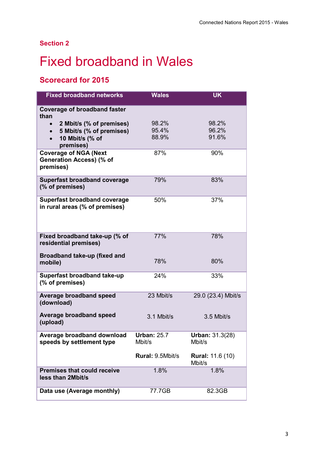## **Section 2**

## <span id="page-4-0"></span>**Fixed broadband in Wales**

## **Scorecard for 2015**

| <b>Fixed broadband networks</b>                                                                   | <b>Wales</b>                 | <b>UK</b>                         |
|---------------------------------------------------------------------------------------------------|------------------------------|-----------------------------------|
| <b>Coverage of broadband faster</b><br>than                                                       |                              |                                   |
| 2 Mbit/s (% of premises)<br>5 Mbit/s (% of premises)<br>$\bullet$<br>10 Mbit/s (% of<br>premises) | 98.2%<br>95.4%<br>88.9%      | 98.2%<br>96.2%<br>91.6%           |
| <b>Coverage of NGA (Next</b><br>Generation Access) (% of<br>premises)                             | 87%                          | 90%                               |
| <b>Superfast broadband coverage</b><br>(% of premises)                                            | 79%                          | 83%                               |
| <b>Superfast broadband coverage</b><br>in rural areas (% of premises)                             | 50%                          | 37%                               |
| Fixed broadband take-up (% of<br>residential premises)                                            | 77%                          | 78%                               |
| Broadband take-up (fixed and<br>mobile)                                                           | 78%                          | 80%                               |
| Superfast broadband take-up<br>(% of premises)                                                    | 24%                          | 33%                               |
| <b>Average broadband speed</b><br>(download)                                                      | 23 Mbit/s                    | 29.0 (23.4) Mbit/s                |
| Average broadband speed<br>(upload)                                                               | 3.1 Mbit/s                   | 3.5 Mbit/s                        |
| Average broadband download<br>speeds by settlement type                                           | <b>Urban: 25.7</b><br>Mbit/s | <b>Urban: 31.3(28)</b><br>Mbit/s  |
|                                                                                                   | Rural: 9.5Mbit/s             | <b>Rural: 11.6 (10)</b><br>Mbit/s |
| <b>Premises that could receive</b><br>less than 2Mbit/s                                           | 1.8%                         | 1.8%                              |
| Data use (Average monthly)                                                                        | 77.7GB                       | 82.3GB                            |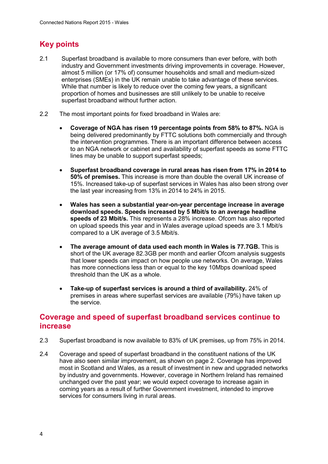## **Key points**

- 2.1 Superfast broadband is available to more consumers than ever before, with both industry and Government investments driving improvements in coverage. However, almost 5 million (or 17% of) consumer households and small and medium-sized enterprises (SMEs) in the UK remain unable to take advantage of these services. While that number is likely to reduce over the coming few years, a significant proportion of homes and businesses are still unlikely to be unable to receive superfast broadband without further action.
- 2.2 The most important points for fixed broadband in Wales are:
	- **Coverage of NGA has risen 19 percentage points from 58% to 87%.** NGA is being delivered predominantly by FTTC solutions both commercially and through the intervention programmes. There is an important difference between access to an NGA network or cabinet and availability of superfast speeds as some FTTC lines may be unable to support superfast speeds;
	- **Superfast broadband coverage in rural areas has risen from 17% in 2014 to 50% of premises.** This increase is more than double the overall UK increase of 15%. Increased take-up of superfast services in Wales has also been strong over the last year increasing from 13% in 2014 to 24% in 2015.
	- **Wales has seen a substantial year-on-year percentage increase in average download speeds. Speeds increased by 5 Mbit/s to an average headline speeds of 23 Mbit/s.** This represents a 28% increase. Ofcom has also reported on upload speeds this year and in Wales average upload speeds are 3.1 Mbit/s compared to a UK average of 3.5 Mbit/s.
	- **The average amount of data used each month in Wales is 77.7GB.** This is short of the UK average 82.3GB per month and earlier Ofcom analysis suggests that lower speeds can impact on how people use networks. On average, Wales has more connections less than or equal to the key 10Mbps download speed threshold than the UK as a whole.
	- **Take-up of superfast services is around a third of availability.** 24% of premises in areas where superfast services are available (79%) have taken up the service.

## **Coverage and speed of superfast broadband services continue to increase**

- 2.3 Superfast broadband is now available to 83% of UK premises, up from 75% in 2014.
- 2.4 Coverage and speed of superfast broadband in the constituent nations of the UK have also seen similar improvement, as shown on page 2. Coverage has improved most in Scotland and Wales, as a result of investment in new and upgraded networks by industry and governments. However, coverage in Northern Ireland has remained unchanged over the past year; we would expect coverage to increase again in coming years as a result of further Government investment, intended to improve services for consumers living in rural areas.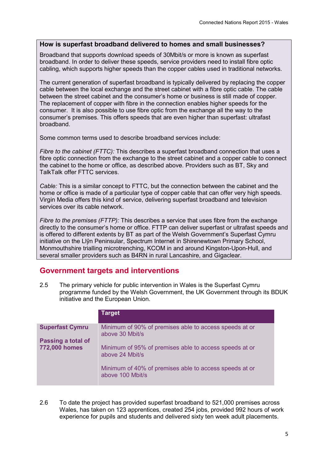#### **How is superfast broadband delivered to homes and small businesses?**

Broadband that supports download speeds of 30Mbit/s or more is known as superfast broadband. In order to deliver these speeds, service providers need to install fibre optic cabling, which supports higher speeds than the copper cables used in traditional networks.

The current generation of superfast broadband is typically delivered by replacing the copper cable between the local exchange and the street cabinet with a fibre optic cable. The cable between the street cabinet and the consumer's home or business is still made of copper. The replacement of copper with fibre in the connection enables higher speeds for the consumer. It is also possible to use fibre optic from the exchange all the way to the consumer's premises. This offers speeds that are even higher than superfast: ultrafast broadband.

Some common terms used to describe broadband services include:

*Fibre to the cabinet (FTTC):* This describes a superfast broadband connection that uses a fibre optic connection from the exchange to the street cabinet and a copper cable to connect the cabinet to the home or office, as described above. Providers such as BT, Sky and TalkTalk offer FTTC services.

*Cable:* This is a similar concept to FTTC, but the connection between the cabinet and the home or office is made of a particular type of copper cable that can offer very high speeds. Virgin Media offers this kind of service, delivering superfast broadband and television services over its cable network.

*Fibre to the premises (FTTP):* This describes a service that uses fibre from the exchange directly to the consumer's home or office. FTTP can deliver superfast or ultrafast speeds and is offered to different extents by BT as part of the Welsh Government's Superfast Cymru initiative on the Llŷn Peninsular, Spectrum Internet in Shirenewtown Primary School, Monmouthshire trialling microtrenching, KCOM in and around Kingston-Upon-Hull, and several smaller providers such as B4RN in rural Lancashire, and Gigaclear.

## **Government targets and interventions**

2.5 The primary vehicle for public intervention in Wales is the Superfast Cymru programme funded by the Welsh Government, the UK Government through its BDUK initiative and the European Union.

|                                            | <b>Target</b>                                                              |
|--------------------------------------------|----------------------------------------------------------------------------|
| <b>Superfast Cymru</b>                     | Minimum of 90% of premises able to access speeds at or<br>above 30 Mbit/s  |
| Passing a total of<br><b>772,000 homes</b> | Minimum of 95% of premises able to access speeds at or<br>above 24 Mbit/s  |
|                                            | Minimum of 40% of premises able to access speeds at or<br>above 100 Mbit/s |

2.6 To date the project has provided superfast broadband to 521,000 premises across Wales, has taken on 123 apprentices, created 254 jobs, provided 992 hours of work experience for pupils and students and delivered sixty ten week adult placements.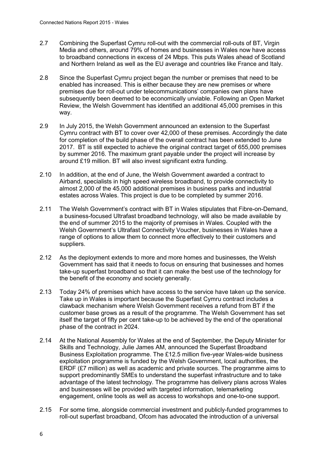- 2.7 Combining the Superfast Cymru roll-out with the commercial roll-outs of BT, Virgin Media and others, around 79% of homes and businesses in Wales now have access to broadband connections in excess of 24 Mbps. This puts Wales ahead of Scotland and Northern Ireland as well as the EU average and countries like France and Italy.
- 2.8 Since the Superfast Cymru project began the number or premises that need to be enabled has increased. This is either because they are new premises or where premises due for roll-out under telecommunications' companies own plans have subsequently been deemed to be economically unviable. Following an Open Market Review, the Welsh Government has identified an additional 45,000 premises in this way.
- 2.9 In July 2015, the Welsh Government announced an extension to the Superfast Cymru contract with BT to cover over 42,000 of these premises. Accordingly the date for completion of the build phase of the overall contract has been extended to June 2017. BT is still expected to achieve the original contract target of 655,000 premises by summer 2016. The maximum grant payable under the project will increase by around £19 million. BT will also invest significant extra funding.
- 2.10 In addition, at the end of June, the Welsh Government awarded a contract to Airband, specialists in high speed wireless broadband, to provide connectivity to almost 2,000 of the 45,000 additional premises in business parks and industrial estates across Wales. This project is due to be completed by summer 2016.
- 2.11 The Welsh Government's contract with BT in Wales stipulates that Fibre-on-Demand, a business-focused Ultrafast broadband technology, will also be made available by the end of summer 2015 to the majority of premises in Wales. Coupled with the Welsh Government's Ultrafast Connectivity Voucher, businesses in Wales have a range of options to allow them to connect more effectively to their customers and suppliers.
- 2.12 As the deployment extends to more and more homes and businesses, the Welsh Government has said that it needs to focus on ensuring that businesses and homes take-up superfast broadband so that it can make the best use of the technology for the benefit of the economy and society generally.
- 2.13 Today 24% of premises which have access to the service have taken up the service. Take up in Wales is important because the Superfast Cymru contract includes a clawback mechanism where Welsh Government receives a refund from BT if the customer base grows as a result of the programme. The Welsh Government has set itself the target of fifty per cent take-up to be achieved by the end of the operational phase of the contract in 2024.
- 2.14 At the National Assembly for Wales at the end of September, the Deputy Minister for Skills and Technology, Julie James AM, announced the Superfast Broadband Business Exploitation programme. The £12.5 million five-year Wales-wide business exploitation programme is funded by the Welsh Government, local authorities, the ERDF (£7 million) as well as academic and private sources. The programme aims to support predominantly SMEs to understand the superfast infrastructure and to take advantage of the latest technology. The programme has delivery plans across Wales and businesses will be provided with targeted information, telemarketing engagement, online tools as well as access to workshops and one-to-one support.
- 2.15 For some time, alongside commercial investment and publicly-funded programmes to roll-out superfast broadband, Ofcom has advocated the introduction of a universal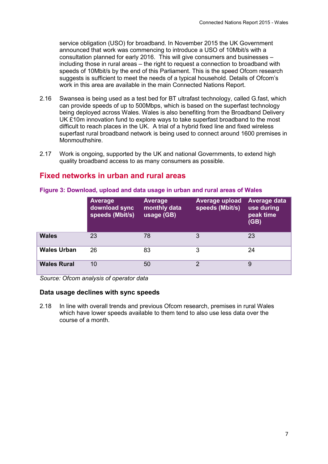service obligation (USO) for broadband. In November 2015 the UK Government announced that work was commencing to introduce a USO of 10Mbit/s with a consultation planned for early 2016. This will give consumers and businesses – including those in rural areas – the right to request a connection to broadband with speeds of 10Mbit/s by the end of this Parliament. This is the speed Ofcom research suggests is sufficient to meet the needs of a typical household. Details of Ofcom's work in this area are available in the main Connected Nations Report.

- 2.16 Swansea is being used as a test bed for BT ultrafast technology, called G.fast, which can provide speeds of up to 500Mbps, which is based on the superfast technology being deployed across Wales. Wales is also benefiting from the Broadband Delivery UK £10m innovation fund to explore ways to take superfast broadband to the most difficult to reach places in the UK. A trial of a hybrid fixed line and fixed wireless superfast rural broadband network is being used to connect around 1600 premises in Monmouthshire.
- 2.17 Work is ongoing, supported by the UK and national Governments, to extend high quality broadband access to as many consumers as possible.

### **Fixed networks in urban and rural areas**

|                    | <b>Average</b><br>download sync<br>speeds (Mbit/s) | Average<br>monthly data<br>usage (GB) | <b>Average upload</b><br>speeds (Mbit/s) | Average data<br>use during<br>peak time<br>(GB) |
|--------------------|----------------------------------------------------|---------------------------------------|------------------------------------------|-------------------------------------------------|
| <b>Wales</b>       | 23                                                 | 78                                    | 3                                        | 23                                              |
| <b>Wales Urban</b> | 26                                                 | 83                                    | 3                                        | 24                                              |
| <b>Wales Rural</b> | 10                                                 | 50                                    | റ                                        | 9                                               |

#### **Figure 3: Download, upload and data usage in urban and rural areas of Wales**

*Source: Ofcom analysis of operator data*

#### **Data usage declines with sync speeds**

2.18 In line with overall trends and previous Ofcom research, premises in rural Wales which have lower speeds available to them tend to also use less data over the course of a month.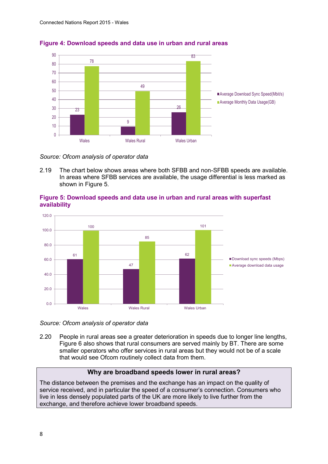

#### **Figure 4: Download speeds and data use in urban and rural areas**

*Source: Ofcom analysis of operator data*

2.19 The chart below shows areas where both SFBB and non-SFBB speeds are available. In areas where SFBB services are available, the usage differential is less marked as shown in [Figure 5.](#page-9-0)



#### <span id="page-9-0"></span>**Figure 5: Download speeds and data use in urban and rural areas with superfast availability**

*Source: Ofcom analysis of operator data*

2.20 People in rural areas see a greater deterioration in speeds due to longer line lengths, Figure 6 also shows that rural consumers are served mainly by BT. There are some smaller operators who offer services in rural areas but they would not be of a scale that would see Ofcom routinely collect data from them.

#### **Why are broadband speeds lower in rural areas?**

The distance between the premises and the exchange has an impact on the quality of service received, and in particular the speed of a consumer's connection. Consumers who live in less densely populated parts of the UK are more likely to live further from the exchange, and therefore achieve lower broadband speeds.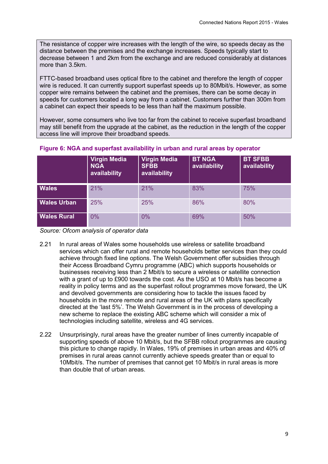The resistance of copper wire increases with the length of the wire, so speeds decay as the distance between the premises and the exchange increases. Speeds typically start to decrease between 1 and 2km from the exchange and are reduced considerably at distances more than 3.5km.

FTTC-based broadband uses optical fibre to the cabinet and therefore the length of copper wire is reduced. It can currently support superfast speeds up to 80Mbit/s. However, as some copper wire remains between the cabinet and the premises, there can be some decay in speeds for customers located a long way from a cabinet. Customers further than 300m from a cabinet can expect their speeds to be less than half the maximum possible.

However, some consumers who live too far from the cabinet to receive superfast broadband may still benefit from the upgrade at the cabinet, as the reduction in the length of the copper access line will improve their broadband speeds.

|                    | <b>Virgin Media</b><br><b>NGA</b><br>availability | <b>Virgin Media</b><br><b>SFBB</b><br>availability | <b>BT NGA</b><br>availability | <b>BT SFBB</b><br>availability |
|--------------------|---------------------------------------------------|----------------------------------------------------|-------------------------------|--------------------------------|
| <b>Wales</b>       | 21%                                               | 21%                                                | 83%                           | 75%                            |
| <b>Wales Urban</b> | 25%                                               | 25%                                                | 86%                           | 80%                            |
| <b>Wales Rural</b> | 0%                                                | 0%                                                 | 69%                           | 50%                            |

#### **Figure 6: NGA and superfast availability in urban and rural areas by operator**

*Source: Ofcom analysis of operator data*

- 2.21 In rural areas of Wales some households use wireless or satellite broadband services which can offer rural and remote households better services than they could achieve through fixed line options. The Welsh Government offer subsidies through their Access Broadband Cymru programme (ABC) which supports households or businesses receiving less than 2 Mbit/s to secure a wireless or satellite connection with a grant of up to £900 towards the cost. As the USO at 10 Mbit/s has become a reality in policy terms and as the superfast rollout programmes move forward, the UK and devolved governments are considering how to tackle the issues faced by households in the more remote and rural areas of the UK with plans specifically directed at the 'last 5%'. The Welsh Government is in the process of developing a new scheme to replace the existing ABC scheme which will consider a mix of technologies including satellite, wireless and 4G services.
- 2.22 Unsurprisingly, rural areas have the greater number of lines currently incapable of supporting speeds of above 10 Mbit/s, but the SFBB rollout programmes are causing this picture to change rapidly. In Wales, 19% of premises in urban areas and 40% of premises in rural areas cannot currently achieve speeds greater than or equal to 10Mbit/s. The number of premises that cannot get 10 Mbit/s in rural areas is more than double that of urban areas.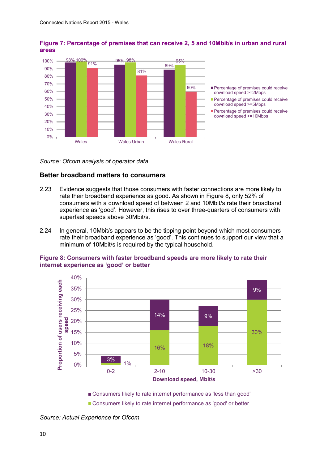

#### **Figure 7: Percentage of premises that can receive 2, 5 and 10Mbit/s in urban and rural areas**

*Source: Ofcom analysis of operator data*

#### **Better broadband matters to consumers**

- 2.23 Evidence suggests that those consumers with faster connections are more likely to rate their broadband experience as good. As shown in [Figure 8,](#page-11-0) only 52% of consumers with a download speed of between 2 and 10Mbit/s rate their broadband experience as 'good'. However, this rises to over three-quarters of consumers with superfast speeds above 30Mbit/s.
- 2.24 In general, 10Mbit/s appears to be the tipping point beyond which most consumers rate their broadband experience as 'good'. This continues to support our view that a minimum of 10Mbit/s is required by the typical household.

<span id="page-11-0"></span>



Consumers likely to rate internet performance as 'less than good'

Consumers likely to rate internet performance as 'good' or better

*Source: Actual Experience for Ofcom*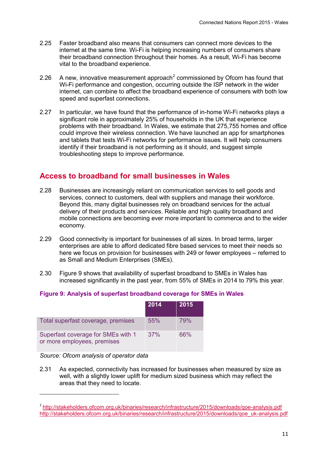- 2.25 Faster broadband also means that consumers can connect more devices to the internet at the same time. Wi-Fi is helping increasing numbers of consumers share their broadband connection throughout their homes. As a result, Wi-Fi has become vital to the broadband experience.
- [2](#page-12-1).26 A new, innovative measurement approach<sup>2</sup> commissioned by Ofcom has found that Wi-Fi performance and congestion, occurring outside the ISP network in the wider internet, can combine to affect the broadband experience of consumers with both low speed and superfast connections.
- 2.27 In particular, we have found that the performance of in-home Wi-Fi networks plays a significant role in approximately 25% of households in the UK that experience problems with their broadband. In Wales, we estimate that 275,755 homes and office could improve their wireless connection. We have launched an app for smartphones and tablets that tests Wi-Fi networks for performance issues. It will help consumers identify if their broadband is not performing as it should, and suggest simple troubleshooting steps to improve performance.

### **Access to broadband for small businesses in Wales**

- 2.28 Businesses are increasingly reliant on communication services to sell goods and services, connect to customers, deal with suppliers and manage their workforce. Beyond this, many digital businesses rely on broadband services for the actual delivery of their products and services. Reliable and high quality broadband and mobile connections are becoming ever more important to commerce and to the wider economy.
- 2.29 Good connectivity is important for businesses of all sizes. In broad terms, larger enterprises are able to afford dedicated fibre based services to meet their needs so here we focus on provision for businesses with 249 or fewer employees – referred to as Small and Medium Enterprises (SMEs).
- 2.30 [Figure 9](#page-12-0) shows that availability of superfast broadband to SMEs in Wales has increased significantly in the past year, from 55% of SMEs in 2014 to 79% this year.

#### <span id="page-12-0"></span>**Figure 9: Analysis of superfast broadband coverage for SMEs in Wales**

|                                                                   | 2014 | 2015       |
|-------------------------------------------------------------------|------|------------|
| Total superfast coverage, premises                                | 55%  | <b>79%</b> |
| Superfast coverage for SMEs with 1<br>or more employees, premises | 37%  | 66%        |

*Source: Ofcom analysis of operator data*

**.** 

2.31 As expected, connectivity has increased for businesses when measured by size as well, with a slightly lower uplift for medium sized business which may reflect the areas that they need to locate.

<span id="page-12-1"></span><sup>2</sup> <http://stakeholders.ofcom.org.uk/binaries/research/infrastructure/2015/downloads/qoe-analysis.pdf> [http://stakeholders.ofcom.org.uk/binaries/research/infrastructure/2015/downloads/qoe\\_uk-analysis.pdf](http://stakeholders.ofcom.org.uk/binaries/research/infrastructure/2015/downloads/qoe_uk-analysis.pdf)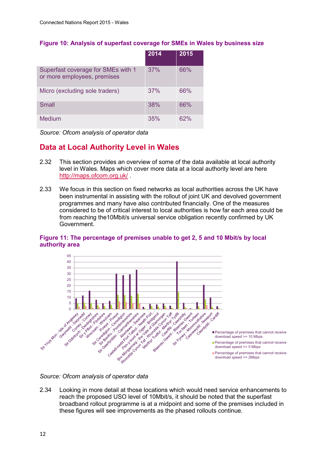#### **Figure 10: Analysis of superfast coverage for SMEs in Wales by business size**

|                                                                   | 2014 | 2015 |
|-------------------------------------------------------------------|------|------|
| Superfast coverage for SMEs with 1<br>or more employees, premises | 37%  | 66%  |
| Micro (excluding sole traders)                                    | 37%  | 66%  |
| Small                                                             | 38%  | 66%  |
| <b>Medium</b>                                                     | 35%  | 62%  |

*Source: Ofcom analysis of operator data*

## **Data at Local Authority Level in Wales**

- 2.32 This section provides an overview of some of the data available at local authority level in Wales. Maps which cover more data at a local authority level are here <http://maps.ofcom.org.uk/> .
- 2.33 We focus in this section on fixed networks as local authorities across the UK have been instrumental in assisting with the rollout of joint UK and devolved government programmes and many have also contributed financially. One of the measures considered to be of critical interest to local authorities is how far each area could be from reaching the10Mbit/s universal service obligation recently confirmed by UK Government.

#### **Figure 11: The percentage of premises unable to get 2, 5 and 10 Mbit/s by local authority area**



2.34 Looking in more detail at those locations which would need service enhancements to reach the proposed USO level of 10Mbit/s, it should be noted that the superfast broadband rollout programme is at a midpoint and some of the premises included in these figures will see improvements as the phased rollouts continue.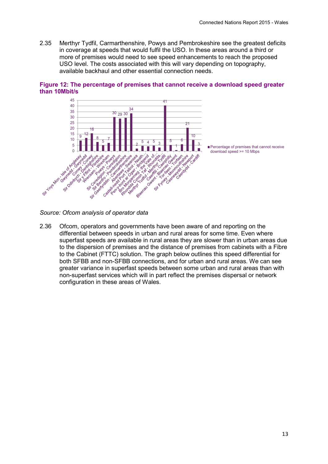2.35 Merthyr Tydfil, Carmarthenshire, Powys and Pembrokeshire see the greatest deficits in coverage at speeds that would fulfil the USO. In these areas around a third or more of premises would need to see speed enhancements to reach the proposed USO level. The costs associated with this will vary depending on topography, available backhaul and other essential connection needs.



**Figure 12: The percentage of premises that cannot receive a download speed greater than 10Mbit/s**

*Source: Ofcom analysis of operator data*

2.36 Ofcom, operators and governments have been aware of and reporting on the differential between speeds in urban and rural areas for some time. Even where superfast speeds are available in rural areas they are slower than in urban areas due to the dispersion of premises and the distance of premises from cabinets with a Fibre to the Cabinet (FTTC) solution. The graph below outlines this speed differential for both SFBB and non-SFBB connections, and for urban and rural areas. We can see greater variance in superfast speeds between some urban and rural areas than with non-superfast services which will in part reflect the premises dispersal or network configuration in these areas of Wales.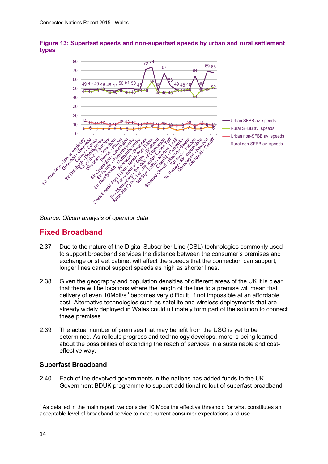

#### **Figure 13: Superfast speeds and non-superfast speeds by urban and rural settlement types**

*Source: Ofcom analysis of operator data*

## **Fixed Broadband**

- 2.37 Due to the nature of the Digital Subscriber Line (DSL) technologies commonly used to support broadband services the distance between the consumer's premises and exchange or street cabinet will affect the speeds that the connection can support; longer lines cannot support speeds as high as shorter lines.
- 2.38 Given the geography and population densities of different areas of the UK it is clear that there will be locations where the length of the line to a premise will mean that delivery of even 10Mbit/s<sup>[3](#page-15-0)</sup> becomes very difficult, if not impossible at an affordable cost. Alternative technologies such as satellite and wireless deployments that are already widely deployed in Wales could ultimately form part of the solution to connect these premises.
- 2.39 The actual number of premises that may benefit from the USO is yet to be determined. As rollouts progress and technology develops, more is being learned about the possibilities of extending the reach of services in a sustainable and costeffective way.

#### **Superfast Broadband**

2.40 Each of the devolved governments in the nations has added funds to the UK Government BDUK programme to support additional rollout of superfast broadband

**.** 

<span id="page-15-0"></span> $3$  As detailed in the main report, we consider 10 Mbps the effective threshold for what constitutes an acceptable level of broadband service to meet current consumer expectations and use.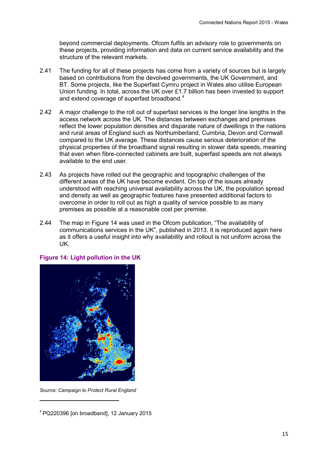beyond commercial deployments. Ofcom fulfils an advisory role to governments on these projects, providing information and data on current service availability and the structure of the relevant markets.

- 2.41 The funding for all of these projects has come from a variety of sources but is largely based on contributions from the devolved governments, the UK Government, and BT. Some projects, like the Superfast Cymru project in Wales also utilise European Union funding. In total, across the UK over £1.7 billion has been invested to support and extend coverage of superfast broadband.<sup>[4](#page-16-0)</sup>
- 2.42 A major challenge to the roll out of superfast services is the longer line lengths in the access network across the UK. The distances between exchanges and premises reflect the lower population densities and disparate nature of dwellings in the nations and rural areas of England such as Northumberland, Cumbria, Devon and Cornwall compared to the UK average. These distances cause serious deterioration of the physical properties of the broadband signal resulting in slower data speeds, meaning that even when fibre-connected cabinets are built, superfast speeds are not always available to the end user.
- 2.43 As projects have rolled out the geographic and topographic challenges of the different areas of the UK have become evident. On top of the issues already understood with reaching universal availability across the UK, the population spread and density as well as geographic features have presented additional factors to overcome in order to roll out as high a quality of service possible to as many premises as possible at a reasonable cost per premise.
- 2.44 The map in Figure 14 was used in the Ofcom publication, "The availability of communications services in the UK", published in 2013. It is reproduced again here as it offers a useful insight into why availability and rollout is not uniform across the UK.



#### **Figure 14: Light pollution in the UK**

*Source: Campaign to Protect Rural England*

**.** 

<span id="page-16-0"></span> $4$  PQ220396 [on broadband], 12 January 2015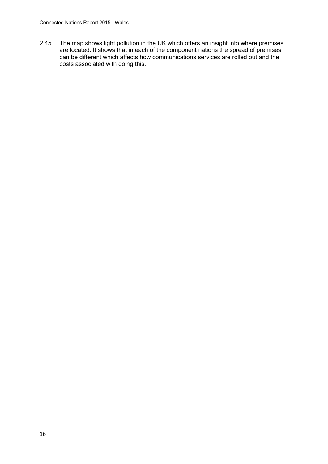2.45 The map shows light pollution in the UK which offers an insight into where premises are located. It shows that in each of the component nations the spread of premises can be different which affects how communications services are rolled out and the costs associated with doing this.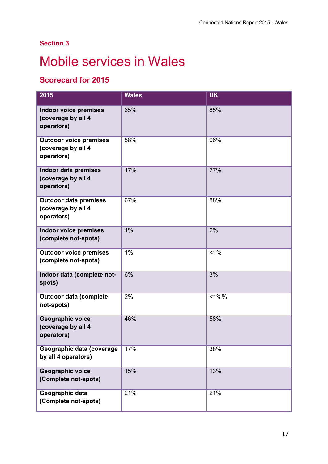## **Section 3**

## <span id="page-18-0"></span>**Mobile services in Wales**

## **Scorecard for 2015**

| 2015                                                              | <b>Wales</b> | <b>UK</b> |
|-------------------------------------------------------------------|--------------|-----------|
| <b>Indoor voice premises</b><br>(coverage by all 4<br>operators)  | 65%          | 85%       |
| <b>Outdoor voice premises</b><br>(coverage by all 4<br>operators) | 88%          | 96%       |
| <b>Indoor data premises</b><br>(coverage by all 4<br>operators)   | 47%          | 77%       |
| <b>Outdoor data premises</b><br>(coverage by all 4<br>operators)  | 67%          | 88%       |
| <b>Indoor voice premises</b><br>(complete not-spots)              | 4%           | 2%        |
| <b>Outdoor voice premises</b><br>(complete not-spots)             | 1%           | 1%        |
| Indoor data (complete not-<br>spots)                              | 6%           | 3%        |
| <b>Outdoor data (complete</b><br>not-spots)                       | 2%           | $<1\%$ %  |
| Geographic voice<br>(coverage by all 4<br>operators)              | 46%          | 58%       |
| Geographic data (coverage<br>by all 4 operators)                  | 17%          | 38%       |
| Geographic voice<br>(Complete not-spots)                          | 15%          | 13%       |
| Geographic data<br>(Complete not-spots)                           | 21%          | 21%       |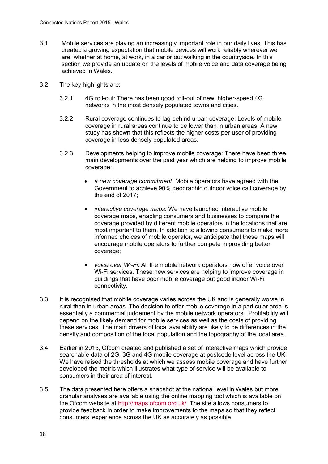- 3.1 Mobile services are playing an increasingly important role in our daily lives. This has created a growing expectation that mobile devices will work reliably wherever we are, whether at home, at work, in a car or out walking in the countryside. In this section we provide an update on the levels of mobile voice and data coverage being achieved in Wales.
- 3.2 The key highlights are:
	- 3.2.1 4G roll-out: There has been good roll-out of new, higher-speed 4G networks in the most densely populated towns and cities.
	- 3.2.2 Rural coverage continues to lag behind urban coverage: Levels of mobile coverage in rural areas continue to be lower than in urban areas. A new study has shown that this reflects the higher costs-per-user of providing coverage in less densely populated areas.
	- 3.2.3 Developments helping to improve mobile coverage: There have been three main developments over the past year which are helping to improve mobile coverage:
		- *a new coverage commitment:* Mobile operators have agreed with the Government to achieve 90% geographic outdoor voice call coverage by the end of 2017;
		- *interactive coverage maps:* We have launched interactive mobile coverage maps, enabling consumers and businesses to compare the coverage provided by different mobile operators in the locations that are most important to them. In addition to allowing consumers to make more informed choices of mobile operator, we anticipate that these maps will encourage mobile operators to further compete in providing better coverage;
		- *voice over Wi-Fi:* All the mobile network operators now offer voice over Wi-Fi services. These new services are helping to improve coverage in buildings that have poor mobile coverage but good indoor Wi-Fi connectivity.
- 3.3 It is recognised that mobile coverage varies across the UK and is generally worse in rural than in urban areas. The decision to offer mobile coverage in a particular area is essentially a commercial judgement by the mobile network operators. Profitability will depend on the likely demand for mobile services as well as the costs of providing these services. The main drivers of local availability are likely to be differences in the density and composition of the local population and the topography of the local area.
- 3.4 Earlier in 2015, Ofcom created and published a set of interactive maps which provide searchable data of 2G, 3G and 4G mobile coverage at postcode level across the UK. We have raised the thresholds at which we assess mobile coverage and have further developed the metric which illustrates what type of service will be available to consumers in their area of interest.
- 3.5 The data presented here offers a snapshot at the national level in Wales but more granular analyses are available using the online mapping tool which is available on the Ofcom website at <http://maps.ofcom.org.uk/> .The site allows consumers to provide feedback in order to make improvements to the maps so that they reflect consumers' experience across the UK as accurately as possible.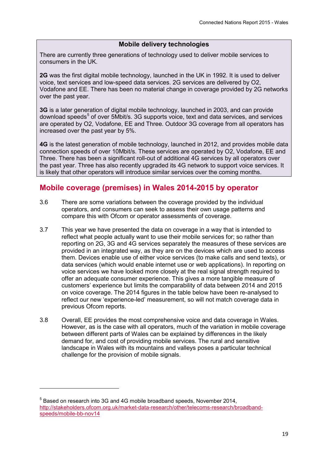#### **Mobile delivery technologies**

There are currently three generations of technology used to deliver mobile services to consumers in the UK.

**2G** was the first digital mobile technology, launched in the UK in 1992. It is used to deliver voice, text services and low-speed data services. 2G services are delivered by O2, Vodafone and EE. There has been no material change in coverage provided by 2G networks over the past year.

**3G** is a later generation of digital mobile technology, launched in 2003, and can provide download speeds<sup>[5](#page-20-0)</sup> of over 5Mbit/s. 3G supports voice, text and data services, and services are operated by O2, Vodafone, EE and Three. Outdoor 3G coverage from all operators has increased over the past year by 5%.

**4G** is the latest generation of mobile technology, launched in 2012, and provides mobile data connection speeds of over 10Mbit/s. These services are operated by O2, Vodafone, EE and Three. There has been a significant roll-out of additional 4G services by all operators over the past year. Three has also recently upgraded its 4G network to support voice services. It is likely that other operators will introduce similar services over the coming months.

## **Mobile coverage (premises) in Wales 2014-2015 by operator**

- 3.6 There are some variations between the coverage provided by the individual operators, and consumers can seek to assess their own usage patterns and compare this with Ofcom or operator assessments of coverage.
- 3.7 This year we have presented the data on coverage in a way that is intended to reflect what people actually want to use their mobile services for; so rather than reporting on 2G, 3G and 4G services separately the measures of these services are provided in an integrated way, as they are on the devices which are used to access them. Devices enable use of either voice services (to make calls and send texts), or data services (which would enable internet use or web applications). In reporting on voice services we have looked more closely at the real signal strength required to offer an adequate consumer experience. This gives a more tangible measure of customers' experience but limits the comparability of data between 2014 and 2015 on voice coverage. The 2014 figures in the table below have been re-analysed to reflect our new 'experience-led' measurement, so will not match coverage data in previous Ofcom reports.
- 3.8 Overall, EE provides the most comprehensive voice and data coverage in Wales. However, as is the case with all operators, much of the variation in mobile coverage between different parts of Wales can be explained by differences in the likely demand for, and cost of providing mobile services. The rural and sensitive landscape in Wales with its mountains and valleys poses a particular technical challenge for the provision of mobile signals.

1

<span id="page-20-0"></span><sup>&</sup>lt;sup>5</sup> Based on research into 3G and 4G mobile broadband speeds, November 2014, [http://stakeholders.ofcom.org.uk/market-data-research/other/telecoms-research/broadband](http://stakeholders.ofcom.org.uk/market-data-research/other/telecoms-research/broadband-speeds/mobile-bb-nov14)[speeds/mobile-bb-nov14](http://stakeholders.ofcom.org.uk/market-data-research/other/telecoms-research/broadband-speeds/mobile-bb-nov14)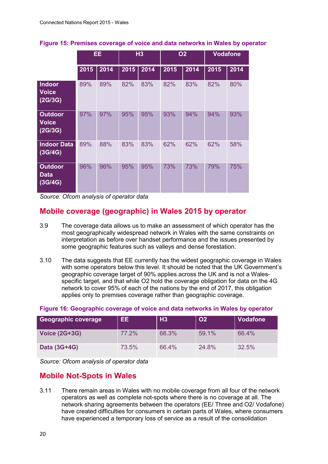|                                           | EE.  |      | H3   |      | <b>O2</b> |      | <b>Vodafone</b> |      |
|-------------------------------------------|------|------|------|------|-----------|------|-----------------|------|
|                                           | 2015 | 2014 | 2015 | 2014 | 2015      | 2014 | 2015            | 2014 |
| Indoor<br><b>Voice</b><br>(2G/3G)         | 89%  | 89%  | 82%  | 83%  | 82%       | 83%  | 82%             | 80%  |
| <b>Outdoor</b><br><b>Voice</b><br>(2G/3G) | 97%  | 97%  | 95%  | 95%  | 93%       | 94%  | 94%             | 93%  |
| <b>Indoor Data</b><br>(3G/4G)             | 89%  | 88%  | 83%  | 83%  | 62%       | 62%  | 62%             | 58%  |
| <b>Outdoor</b><br><b>Data</b><br>(3G/4G)  | 96%  | 96%  | 95%  | 95%  | 73%       | 73%  | 79%             | 75%  |

#### **Figure 15: Premises coverage of voice and data networks in Wales by operator**

*Source: Ofcom analysis of operator data*

## **Mobile coverage (geographic) in Wales 2015 by operator**

- 3.9 The coverage data allows us to make an assessment of which operator has the most geographically widespread network in Wales with the same constraints on interpretation as before over handset performance and the issues presented by some geographic features such as valleys and dense forestation.
- 3.10 The data suggests that EE currently has the widest geographic coverage in Wales with some operators below this level. It should be noted that the UK Government's geographic coverage target of 90% applies across the UK and is not a Walesspecific target, and that while O2 hold the coverage obligation for data on the 4G network to cover 95% of each of the nations by the end of 2017, this obligation applies only to premises coverage rather than geographic coverage.

#### **Figure 16: Geographic coverage of voice and data networks in Wales by operator**

| <b>Geographic coverage</b> | EE.   | <b>H3</b> | <b>O2</b> | <b>Vodafone</b> |
|----------------------------|-------|-----------|-----------|-----------------|
| <b>Voice (2G+3G)</b>       | 77.2% | 66.3%     | 59.1%     | 66.4%           |
| Data (3G+4G)               | 73.5% | 66.4%     | 24.8%     | 32.5%           |

*Source: Ofcom analysis of operator data*

## **Mobile Not-Spots in Wales**

3.11 There remain areas in Wales with no mobile coverage from all four of the network operators as well as complete not-spots where there is no coverage at all. The network sharing agreements between the operators (EE/ Three and O2/ Vodafone) have created difficulties for consumers in certain parts of Wales, where consumers have experienced a temporary loss of service as a result of the consolidation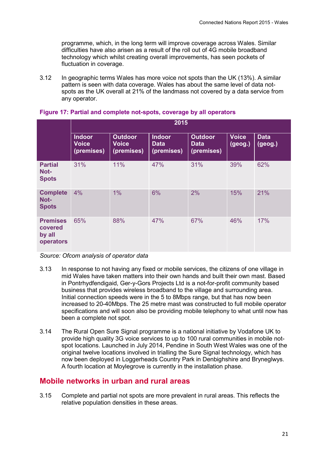programme, which, in the long term will improve coverage across Wales. Similar difficulties have also arisen as a result of the roll out of 4G mobile broadband technology which whilst creating overall improvements, has seen pockets of fluctuation in coverage.

3.12 In geographic terms Wales has more voice not spots than the UK (13%). A similar pattern is seen with data coverage. Wales has about the same level of data notspots as the UK overall at 21% of the landmass not covered by a data service from any operator.

|                                                   | 2015                                        |                                              |                                            |                                             |                         |                        |  |  |  |
|---------------------------------------------------|---------------------------------------------|----------------------------------------------|--------------------------------------------|---------------------------------------------|-------------------------|------------------------|--|--|--|
|                                                   | <b>Indoor</b><br><b>Voice</b><br>(premises) | <b>Outdoor</b><br><b>Voice</b><br>(premises) | <b>Indoor</b><br><b>Data</b><br>(premises) | <b>Outdoor</b><br><b>Data</b><br>(premises) | <b>Voice</b><br>(geog.) | <b>Data</b><br>(geog.) |  |  |  |
| <b>Partial</b><br>Not-<br><b>Spots</b>            | 31%                                         | 11%                                          | 47%                                        | 31%                                         | 39%                     | 62%                    |  |  |  |
| <b>Complete</b><br>Not-<br><b>Spots</b>           | 4%                                          | 1%                                           | 6%                                         | 2%                                          | 15%                     | 21%                    |  |  |  |
| <b>Premises</b><br>covered<br>by all<br>operators | 65%                                         | 88%                                          | 47%                                        | 67%                                         | 46%                     | 17%                    |  |  |  |

#### **Figure 17: Partial and complete not-spots, coverage by all operators**

*Source: Ofcom analysis of operator data*

- 3.13 In response to not having any fixed or mobile services, the citizens of one village in mid Wales have taken matters into their own hands and built their own mast. Based in Pontrhydfendigaid, Ger-y-Gors Projects Ltd is a not-for-profit community based business that provides wireless broadband to the village and surrounding area. Initial connection speeds were in the 5 to 8Mbps range, but that has now been increased to 20-40Mbps. The 25 metre mast was constructed to full mobile operator specifications and will soon also be providing mobile telephony to what until now has been a complete not spot.
- 3.14 The Rural Open Sure Signal programme is a national initiative by Vodafone UK to provide high quality 3G voice services to up to 100 rural communities in mobile notspot locations. Launched in July 2014, Pendine in South West Wales was one of the original twelve locations involved in trialling the Sure Signal technology, which has now been deployed in Loggerheads Country Park in Denbighshire and Bryneglwys. A fourth location at Moylegrove is currently in the installation phase.

#### **Mobile networks in urban and rural areas**

3.15 Complete and partial not spots are more prevalent in rural areas. This reflects the relative population densities in these areas.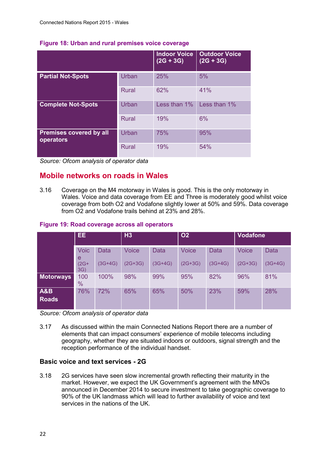|                                             |              | <b>Indoor Voice</b><br>$(2G + 3G)$ | <b>Outdoor Voice</b><br>$(2G + 3G)$ |
|---------------------------------------------|--------------|------------------------------------|-------------------------------------|
| <b>Partial Not-Spots</b>                    | Urban        | 25%                                | 5%                                  |
|                                             | <b>Rural</b> | 62%                                | 41%                                 |
| <b>Complete Not-Spots</b>                   | Urban        | Less than $1\%$                    | Less than 1%                        |
|                                             | <b>Rural</b> | 19%                                | 6%                                  |
| <b>Premises covered by all</b><br>operators | Urban        | 75%                                | 95%                                 |
|                                             | <b>Rural</b> | 19%                                | 54%                                 |

#### **Figure 18: Urban and rural premises voice coverage**

*Source: Ofcom analysis of operator data*

### **Mobile networks on roads in Wales**

3.16 Coverage on the M4 motorway in Wales is good. This is the only motorway in Wales. Voice and data coverage from EE and Three is moderately good whilst voice coverage from both O2 and Vodafone slightly lower at 50% and 59%. Data coverage from O2 and Vodafone trails behind at 23% and 28%.

#### **Figure 19: Road coverage across all operators**

|                                | EE.                  |           | H3           |           | <b>O2</b>    |             | <b>Vodafone</b> |             |
|--------------------------------|----------------------|-----------|--------------|-----------|--------------|-------------|-----------------|-------------|
|                                | <b>Voic</b><br>e     | Data      | <b>Voice</b> | Data      | <b>Voice</b> | <b>Data</b> | <b>Voice</b>    | <b>Data</b> |
|                                | $(2G+$<br>3G)        | $(3G+4G)$ | $(2G+3G)$    | $(3G+4G)$ | $(2G+3G)$    | $(3G+4G)$   | $(2G+3G)$       | $(3G+4G)$   |
| <b>Motorways</b>               | 100<br>$\frac{0}{0}$ | 100%      | 98%          | 99%       | 95%          | 82%         | 96%             | 81%         |
| <b>A&amp;B</b><br><b>Roads</b> | 76%                  | 72%       | 65%          | 65%       | 50%          | 23%         | 59%             | 28%         |

*Source: Ofcom analysis of operator data*

3.17 As discussed within the main Connected Nations Report there are a number of elements that can impact consumers' experience of mobile telecoms including geography, whether they are situated indoors or outdoors, signal strength and the reception performance of the individual handset.

#### **Basic voice and text services - 2G**

3.18 2G services have seen slow incremental growth reflecting their maturity in the market. However, we expect the UK Government's agreement with the MNOs announced in December 2014 to secure investment to take geographic coverage to 90% of the UK landmass which will lead to further availability of voice and text services in the nations of the UK.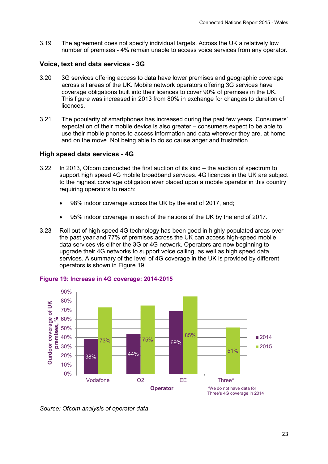3.19 The agreement does not specify individual targets. Across the UK a relatively low number of premises - 4% remain unable to access voice services from any operator.

#### **Voice, text and data services - 3G**

- 3.20 3G services offering access to data have lower premises and geographic coverage across all areas of the UK. Mobile network operators offering 3G services have coverage obligations built into their licences to cover 90% of premises in the UK. This figure was increased in 2013 from 80% in exchange for changes to duration of licences.
- 3.21 The popularity of smartphones has increased during the past few years. Consumers' expectation of their mobile device is also greater – consumers expect to be able to use their mobile phones to access information and data wherever they are, at home and on the move. Not being able to do so cause anger and frustration.

#### **High speed data services - 4G**

- 3.22 In 2013, Ofcom conducted the first auction of its kind the auction of spectrum to support high speed 4G mobile broadband services. 4G licences in the UK are subject to the highest coverage obligation ever placed upon a mobile operator in this country requiring operators to reach:
	- 98% indoor coverage across the UK by the end of 2017, and:
	- 95% indoor coverage in each of the nations of the UK by the end of 2017.
- 3.23 Roll out of high-speed 4G technology has been good in highly populated areas over the past year and 77% of premises across the UK can access high-speed mobile data services vis either the 3G or 4G network. Operators are now beginning to upgrade their 4G networks to support voice calling, as well as high speed data services. A summary of the level of 4G coverage in the UK is provided by different operators is shown in [Figure 19.](#page-24-0)



#### <span id="page-24-0"></span>**Figure 19: Increase in 4G coverage: 2014-2015**

*Source: Ofcom analysis of operator data*